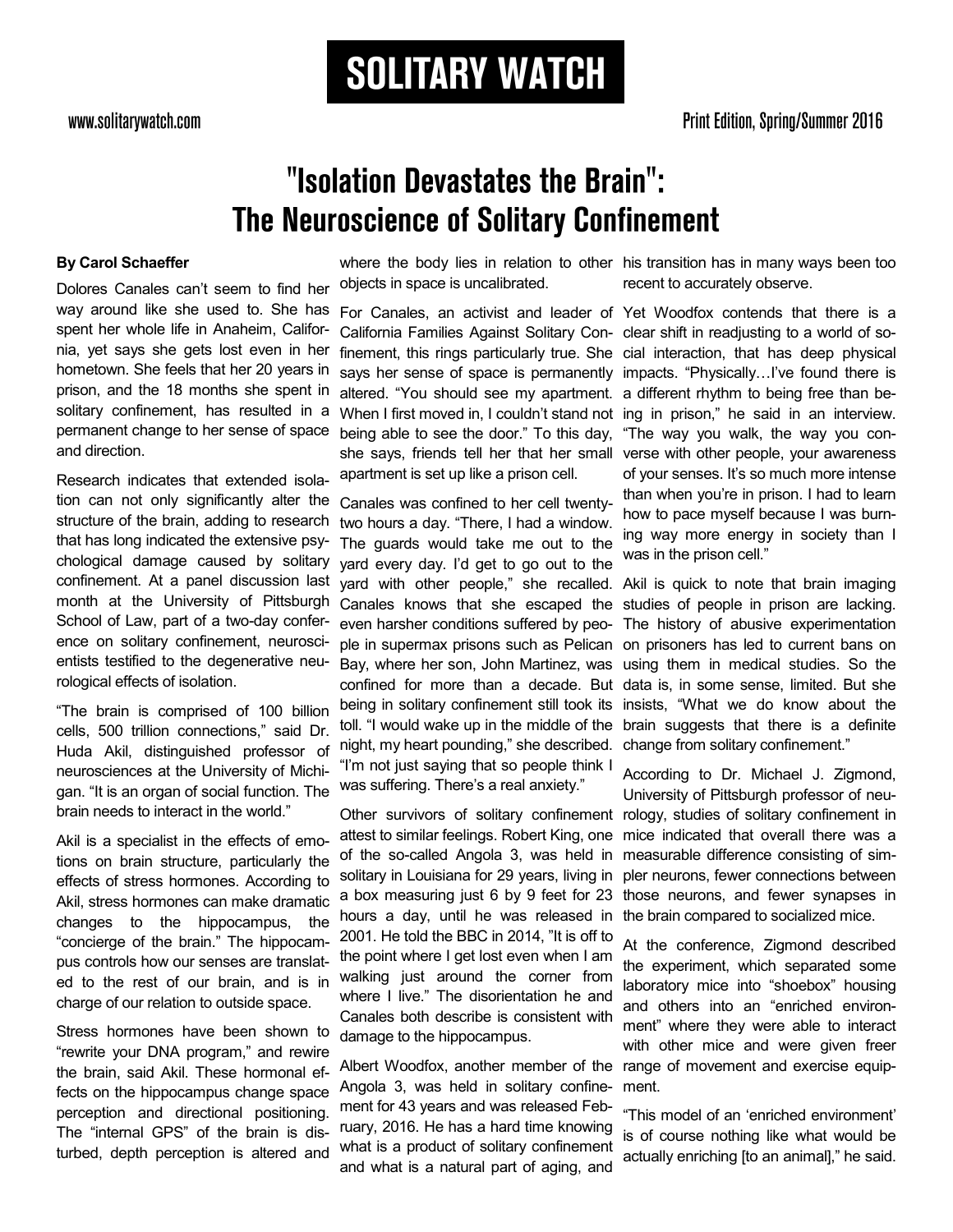# **SOLITARY WATCH**

### "Isolation Devastates the Brain": **The Neuroscience of Solitary Confinement**

#### **By Carol Schaeffer**

Dolores Canales can't seem to find her way around like she used to. She has spent her whole life in Anaheim, California, yet says she gets lost even in her hometown. She feels that her 20 years in prison, and the 18 months she spent in solitary confinement, has resulted in a permanent change to her sense of space and direction.

Research indicates that extended isolation can not only significantly alter the structure of the brain, adding to research that has long indicated the extensive psychological damage caused by solitary confinement. At a panel discussion last month at the University of Pittsburgh School of Law, part of a two-day conference on solitary confinement, neuroscientists testified to the degenerative neurological effects of isolation.

"The brain is comprised of 100 billion cells, 500 trillion connections," said Dr. Huda Akil, distinguished professor of neurosciences at the University of Michigan. "It is an organ of social function. The brain needs to interact in the world."

Akil is a specialist in the effects of emotions on brain structure, particularly the effects of stress hormones. According to Akil, stress hormones can make dramatic changes to the hippocampus, the "concierge of the brain." The hippocampus controls how our senses are translated to the rest of our brain, and is in charge of our relation to outside space.

Stress hormones have been shown to "rewrite your DNA program," and rewire the brain, said Akil. These hormonal effects on the hippocampus change space perception and directional positioning. The "internal GPS" of the brain is disturbed, depth perception is altered and

objects in space is uncalibrated.

For Canales, an activist and leader of Yet Woodfox contends that there is a California Families Against Solitary Con-clear shift in readjusting to a world of sofinement, this rings particularly true. She cial interaction, that has deep physical says her sense of space is permanently impacts. "Physically...I've found there is altered. "You should see my apartment. a different rhythm to being free than be-When I first moved in, I couldn't stand not ing in prison," he said in an interview. being able to see the door." To this day, she says, friends tell her that her small verse with other people, your awareness apartment is set up like a prison cell.

Canales was confined to her cell twentytwo hours a day. "There, I had a window. The guards would take me out to the yard every day. I'd get to go out to the yard with other people," she recalled. Canales knows that she escaped the even harsher conditions suffered by people in supermax prisons such as Pelican Bay, where her son, John Martinez, was confined for more than a decade. But data is, in some sense, limited. But she being in solitary confinement still took its toll. "I would wake up in the middle of the night, my heart pounding," she described. "I'm not just saying that so people think I was suffering. There's a real anxiety."

Other survivors of solitary confinement rology, studies of solitary confinement in attest to similar feelings. Robert King, one of the so-called Angola 3, was held in solitary in Louisiana for 29 years, living in a box measuring just 6 by 9 feet for 23 hours a day, until he was released in 2001. He told the BBC in 2014, "It is off to the point where I get lost even when I am walking just around the corner from where I live." The disorientation he and Canales both describe is consistent with damage to the hippocampus.

Albert Woodfox, another member of the range of movement and exercise equip-Angola 3, was held in solitary confinement for 43 years and was released February, 2016. He has a hard time knowing what is a product of solitary confinement and what is a natural part of aging, and

where the body lies in relation to other his transition has in many ways been too recent to accurately observe.

> "The way you walk, the way you conof your senses. It's so much more intense than when you're in prison. I had to learn how to pace myself because I was burning way more energy in society than I was in the prison cell."

Akil is quick to note that brain imaging studies of people in prison are lacking. The history of abusive experimentation on prisoners has led to current bans on using them in medical studies. So the insists, "What we do know about the brain suggests that there is a definite change from solitary confinement."

According to Dr. Michael J. Zigmond, University of Pittsburgh professor of neumice indicated that overall there was a measurable difference consisting of simpler neurons, fewer connections between those neurons, and fewer synapses in the brain compared to socialized mice.

At the conference, Zigmond described the experiment, which separated some laboratory mice into "shoebox" housing and others into an "enriched environment" where they were able to interact with other mice and were given freer ment.

"This model of an 'enriched environment' is of course nothing like what would be actually enriching [to an animal]," he said.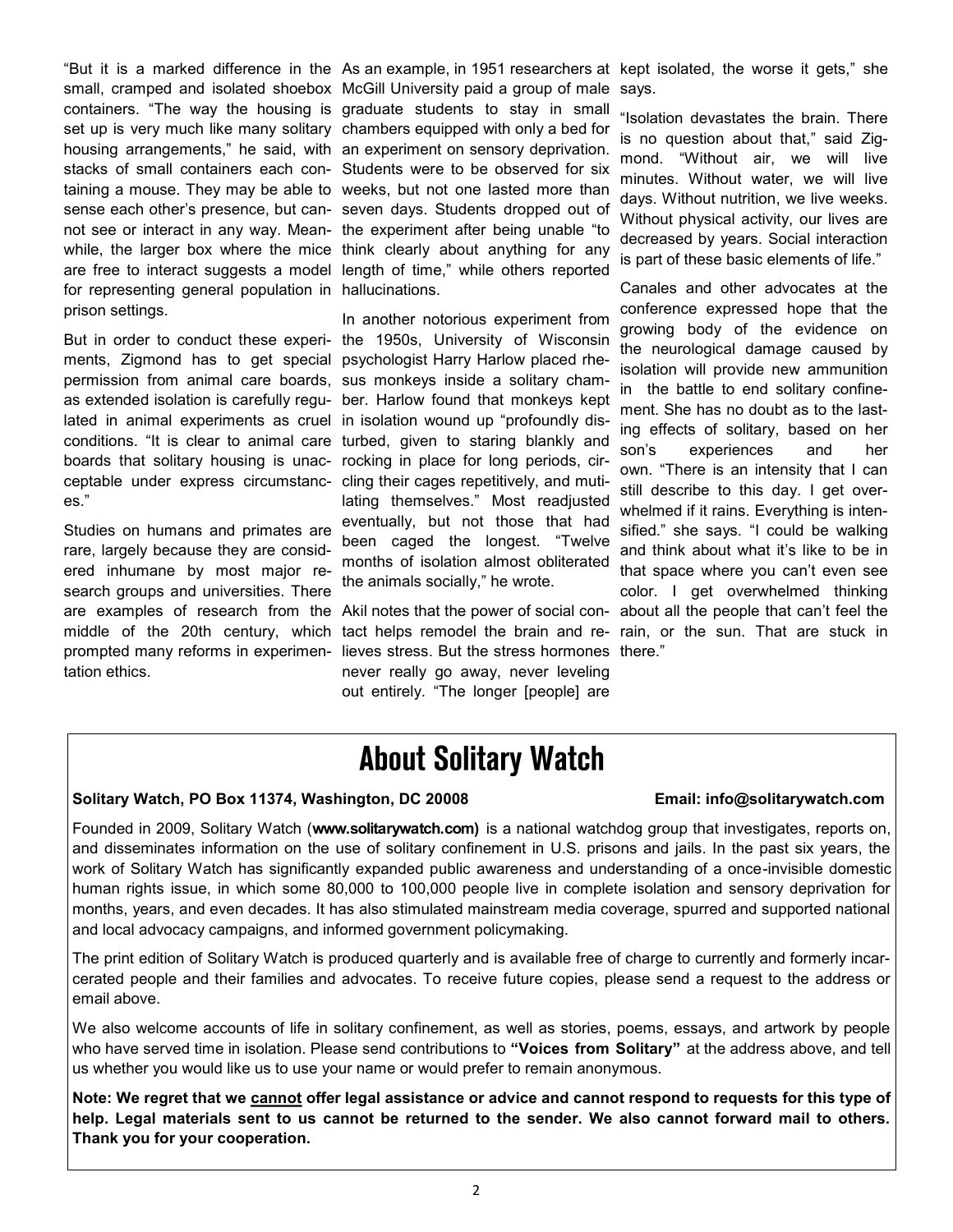set up is very much like many solitary chambers equipped with only a bed for for representing general population in hallucinations. prison settings.

But in order to conduct these experi-the 1950s, University of Wisconsin ments, Zigmond has to get special psychologist Harry Harlow placed rhepermission from animal care boards, sus monkeys inside a solitary chamas extended isolation is carefully regu-ber. Harlow found that monkeys kept lated in animal experiments as cruel in isolation wound up "profoundly disconditions. "It is clear to animal care turbed, given to staring blankly and boards that solitary housing is unac-rocking in place for long periods, circeptable under express circumstanc-cling their cages repetitively, and muties."

Studies on humans and primates are rare, largely because they are considered inhumane by most major research groups and universities. There are examples of research from the Akil notes that the power of social conmiddle of the 20th century, which prompted many reforms in experimentation ethics.

small, cramped and isolated shoebox McGill University paid a group of male

containers. "The way the housing is graduate students to stay in small housing arrangements," he said, with an experiment on sensory deprivation. stacks of small containers each con-Students were to be observed for six taining a mouse. They may be able to weeks, but not one lasted more than sense each other's presence, but can-seven days. Students dropped out of not see or interact in any way. Mean-the experiment after being unable "to while, the larger box where the mice think clearly about anything for any are free to interact suggests a model length of time," while others reported

> In another notorious experiment from lating themselves." Most readjusted eventually, but not those that had been caged the longest. "Twelve months of isolation almost obliterated the animals socially," he wrote.

tact helps remodel the brain and relieves stress. But the stress hormones there." never really go away, never leveling out entirely. "The longer [people] are

"But it is a marked difference in the As an example, in 1951 researchers at kept isolated, the worse it gets," she says.

> "Isolation devastates the brain. There is no question about that," said Zigmond. "Without air, we will live minutes. Without water, we will live days. Without nutrition, we live weeks. Without physical activity, our lives are decreased by years. Social interaction is part of these basic elements of life."

> Canales and other advocates at the conference expressed hope that the growing body of the evidence on the neurological damage caused by isolation will provide new ammunition in the battle to end solitary confinement. She has no doubt as to the lasting effects of solitary, based on her son's experiences and her own. "There is an intensity that I can still describe to this day. I get overwhelmed if it rains. Everything is intensified." she says. "I could be walking and think about what it's like to be in that space where you can't even see color. I get overwhelmed thinking about all the people that can't feel the rain, or the sun. That are stuck in

### **About Solitary Watch**

### **Solitary Watch, PO Box 11374, Washington, DC 20008 Email: info@solitarywatch.com**

Founded in 2009, Solitary Watch (**www.solitarywatch.com)** is a national watchdog group that investigates, reports on, and disseminates information on the use of solitary confinement in U.S. prisons and jails. In the past six years, the work of Solitary Watch has significantly expanded public awareness and understanding of a once-invisible domestic human rights issue, in which some 80,000 to 100,000 people live in complete isolation and sensory deprivation for months, years, and even decades. It has also stimulated mainstream media coverage, spurred and supported national and local advocacy campaigns, and informed government policymaking.

The print edition of Solitary Watch is produced quarterly and is available free of charge to currently and formerly incarcerated people and their families and advocates. To receive future copies, please send a request to the address or email above.

We also welcome accounts of life in solitary confinement, as well as stories, poems, essays, and artwork by people who have served time in isolation. Please send contributions to **"Voices from Solitary"** at the address above, and tell us whether you would like us to use your name or would prefer to remain anonymous.

**Note: We regret that we cannot offer legal assistance or advice and cannot respond to requests for this type of help. Legal materials sent to us cannot be returned to the sender. We also cannot forward mail to others. Thank you for your cooperation.**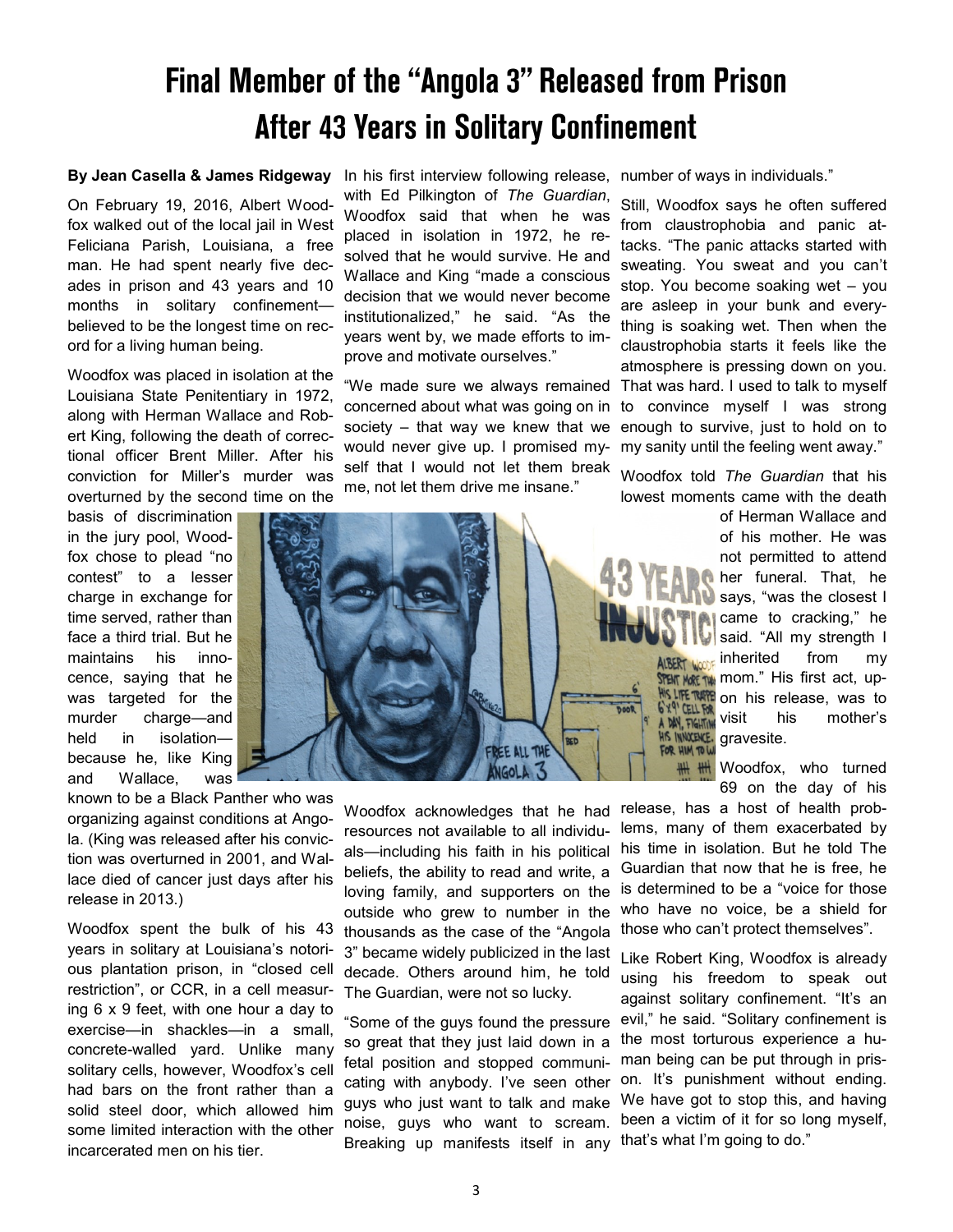## Final Member of the "Angola 3" Released from Prison **After 43 Years in Solitary Confinement**

#### **By Jean Casella & James Ridgeway**

On February 19, 2016, Albert Woodfox walked out of the local jail in West Feliciana Parish, Louisiana, a free man. He had spent nearly five decades in prison and 43 years and 10 months in solitary confinement believed to be the longest time on record for a living human being.

Woodfox was placed in isolation at the Louisiana State Penitentiary in 1972, along with Herman Wallace and Robert King, following the death of correctional officer Brent Miller. After his conviction for Miller's murder was overturned by the second time on the

basis of discrimination in the jury pool, Woodfox chose to plead "no contest" to a lesser charge in exchange for time served, rather than face a third trial. But he maintains his innocence, saying that he was targeted for the murder charge—and held in isolationbecause he, like King and Wallace, was

known to be a Black Panther who was organizing against conditions at Angola. (King was released after his conviction was overturned in 2001, and Wallace died of cancer just days after his release in 2013.)

Woodfox spent the bulk of his 43 years in solitary at Louisiana's notorious plantation prison, in "closed cell restriction", or CCR, in a cell measuring 6 x 9 feet, with one hour a day to exercise—in shackles—in a small, concrete-walled yard. Unlike many solitary cells, however, Woodfox's cell had bars on the front rather than a solid steel door, which allowed him some limited interaction with the other incarcerated men on his tier.

In his first interview following release, with Ed Pilkington of *The Guardian*, Woodfox said that when he was placed in isolation in 1972, he resolved that he would survive. He and Wallace and King "made a conscious decision that we would never become institutionalized," he said. "As the years went by, we made efforts to improve and motivate ourselves."

"We made sure we always remained concerned about what was going on in society – that way we knew that we would never give up. I promised myself that I would not let them break me, not let them drive me insane."

number of ways in individuals."

Still, Woodfox says he often suffered from claustrophobia and panic attacks. "The panic attacks started with sweating. You sweat and you can't stop. You become soaking wet – you are asleep in your bunk and everything is soaking wet. Then when the claustrophobia starts it feels like the atmosphere is pressing down on you. That was hard. I used to talk to myself to convince myself I was strong enough to survive, just to hold on to my sanity until the feeling went away."

Woodfox told *The Guardian* that his lowest moments came with the death



Woodfox acknowledges that he had resources not available to all individuals—including his faith in his political beliefs, the ability to read and write, a loving family, and supporters on the outside who grew to number in the thousands as the case of the "Angola 3" became widely publicized in the last decade. Others around him, he told The Guardian, were not so lucky.

of Herman Wallace and of his mother. He was not permitted to attend her funeral. That, he says, "was the closest I **Came** to cracking," he said. "All my strength I **kos inherited** from my **STENT MORE TWO MOOT ."** His first act, up-**LIFE TARRE** on his release, was to visit his mother's gravesite.

> Woodfox, who turned 69 on the day of his

release, has a host of health problems, many of them exacerbated by his time in isolation. But he told The Guardian that now that he is free, he is determined to be a "voice for those who have no voice, be a shield for those who can't protect themselves".

Breaking up manifests itself in any that's what I'm going to do." Like Robert King, Woodfox is already using his freedom to speak out against solitary confinement. "It's an evil," he said. "Solitary confinement is the most torturous experience a human being can be put through in prison. It's punishment without ending. We have got to stop this, and having been a victim of it for so long myself,

3

"Some of the guys found the pressure so great that they just laid down in a fetal position and stopped communicating with anybody. I've seen other guys who just want to talk and make noise, guys who want to scream.